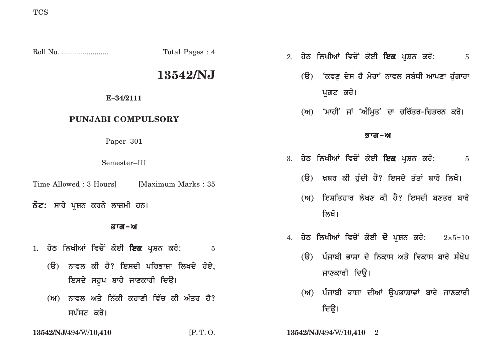|                                                                                          | Total Pages: 4 | 2. ਹੇਠ ਲਿਖੀਆਂ ਵਿਚੋਂ ਕੋਈ ਇਕ ਪ੍ਰਸ਼ਨ ਕਰੋ:<br>$\overline{5}$                                                                             |
|------------------------------------------------------------------------------------------|----------------|--------------------------------------------------------------------------------------------------------------------------------------|
|                                                                                          | 13542/NJ       | (ੳ) <i>'ਕਵਣੁ</i> ਦੇਸ ਹੈ ਮੇਰਾ' ਨਾਵਲ ਸਬੰਧੀ ਆਪਣਾ ਹੁੰਗਾਰਾ                                                                                |
| E-34/2111                                                                                |                | ਪੁਗਟ ਕਰੋ।                                                                                                                            |
| PUNJABI COMPULSORY                                                                       |                | (ਅ) 'ਮਾਹੀ' ਜਾਂ 'ਅੰਮ੍ਰਿਤ' ਦਾ ਚਰਿੱਤਰ–ਚਿਤਰਨ ਕਰੋ।                                                                                        |
| Paper-301                                                                                |                | ਭਾਗ–ਅ                                                                                                                                |
| Semester-III                                                                             |                | 3. ਹੇਠ ਲਿਖੀਆਂ ਵਿਚੋਂ ਕੋਈ <b>ਇਕ</b> ਪੁਸ਼ਨ ਕਰੋ:<br>$\overline{5}$                                                                       |
| Time Allowed : 3 Hours]<br>[Maximum Marks: 35]                                           |                | (ੳ) ਖ਼ਬਰ ਕੀ ਹੁੰਦੀ ਹੈ? ਇਸਦੇ ਤੱਤਾਂ ਬਾਰੇ ਲਿਖੋ।                                                                                          |
| ਨੋਟ: ਸਾਰੇ ਪੁਸ਼ਨ ਕਰਨੇ ਲਾਜ਼ਮੀ ਹਨ।                                                          |                | (ਅ) ਇਸ਼ਤਿਹਾਰ ਲੇਖਣ ਕੀ ਹੈ? ਇਸਦੀ ਬਣਤਰ <b>ਬਾ</b> ਰੇ<br>ਲਿਖੋ।                                                                             |
| ਭਾਗ–ਅ                                                                                    |                |                                                                                                                                      |
| 1. ਹੇਠ ਲਿਖੀਆਂ ਵਿਚੋਂ ਕੋਈ <b>ਇਕ</b> ਪੁਸ਼ਨ ਕਰੋ:<br>(ੳ) ਨਾਵਲ ਕੀ ਹੈ? ਇਸਦੀ ਪਰਿਭਾਸ਼ਾ ਲਿਖਦੇ ਹੋਏ, | $\overline{5}$ | 4. ਹੇਠ ਲਿਖੀਆਂ ਵਿਚੋਂ ਕੋਈ <b>ਦੋ</b> ਪੁਸ਼ਨ ਕਰੋ:<br>$2 \times 5 = 10$<br>(ੳ)  ਪੰਜਾਬੀ ਭਾਸ਼ਾ ਦੇ ਨਿਕਾਸ ਅਤੇ ਵਿਕਾਸ ਬਾਰੇ ਸੰਖੇਪ<br>ਜਾਣਕਾਰੀ ਦਿੳ। |

- ਇਸਦੇ ਸਰੂਪ ਬਾਰੇ ਜਾਣਕਾਰੀ ਦਿਉ।
- (ਅ) ਨਾਵਲ ਅਤੇ ਨਿੱਕੀ ਕਹਾਣੀ ਵਿੱਚ ਕੀ ਅੰਤਰ ਹੈ? ਸਪੱਸ਼ਟ ਕਰੋ।

**13542/NJ/**494/W/**10,410** [P. T. O. **13542/NJ/**494/W/**10,410** 2

ਦਿਉ।

(ਅ) ਪੰਜਾਬੀ ਭਾਸ਼ਾ ਦੀਆਂ ਉਪਭਾਸ਼ਾਵਾਂ ਬਾਰੇ ਜਾਣਕਾਰੀ